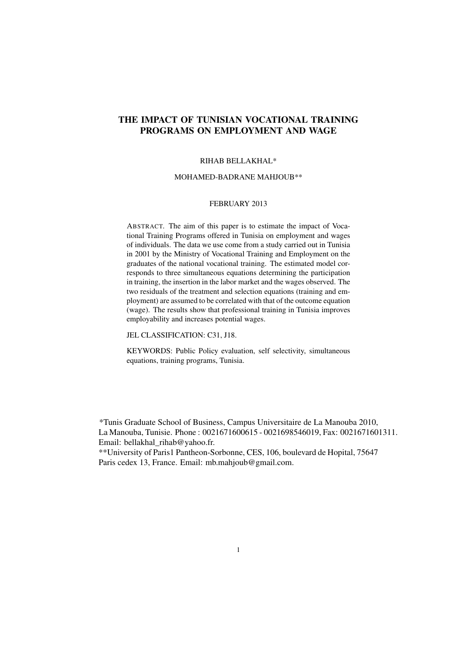# THE IMPACT OF TUNISIAN VOCATIONAL TRAINING PROGRAMS ON EMPLOYMENT AND WAGE

# RIHAB BELLAKHAL\*

### MOHAMED-BADRANE MAHJOUB\*\*

## FEBRUARY 2013

ABSTRACT. The aim of this paper is to estimate the impact of Vocational Training Programs offered in Tunisia on employment and wages of individuals. The data we use come from a study carried out in Tunisia in 2001 by the Ministry of Vocational Training and Employment on the graduates of the national vocational training. The estimated model corresponds to three simultaneous equations determining the participation in training, the insertion in the labor market and the wages observed. The two residuals of the treatment and selection equations (training and employment) are assumed to be correlated with that of the outcome equation (wage). The results show that professional training in Tunisia improves employability and increases potential wages.

JEL CLASSIFICATION: C31, J18.

KEYWORDS: Public Policy evaluation, self selectivity, simultaneous equations, training programs, Tunisia.

\*Tunis Graduate School of Business, Campus Universitaire de La Manouba 2010, La Manouba, Tunisie. Phone : 0021671600615 - 0021698546019, Fax: 0021671601311. Email: bellakhal\_rihab@yahoo.fr.

\*\*University of Paris1 Pantheon-Sorbonne, CES, 106, boulevard de Hopital, 75647 Paris cedex 13, France. Email: mb.mahjoub@gmail.com.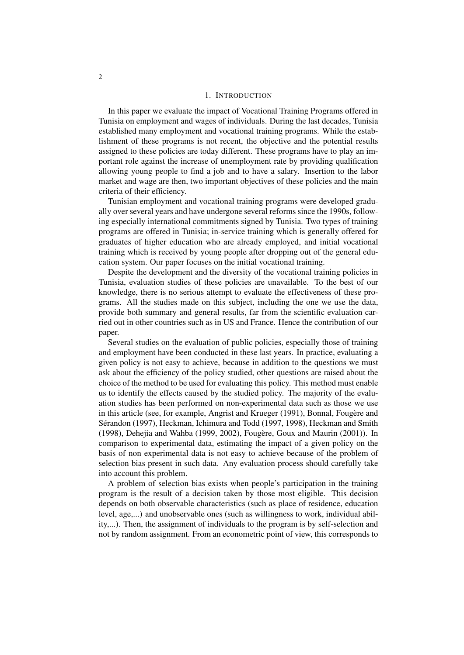### 1. INTRODUCTION

In this paper we evaluate the impact of Vocational Training Programs offered in Tunisia on employment and wages of individuals. During the last decades, Tunisia established many employment and vocational training programs. While the establishment of these programs is not recent, the objective and the potential results assigned to these policies are today different. These programs have to play an important role against the increase of unemployment rate by providing qualification allowing young people to find a job and to have a salary. Insertion to the labor market and wage are then, two important objectives of these policies and the main criteria of their efficiency.

Tunisian employment and vocational training programs were developed gradually over several years and have undergone several reforms since the 1990s, following especially international commitments signed by Tunisia. Two types of training programs are offered in Tunisia; in-service training which is generally offered for graduates of higher education who are already employed, and initial vocational training which is received by young people after dropping out of the general education system. Our paper focuses on the initial vocational training.

Despite the development and the diversity of the vocational training policies in Tunisia, evaluation studies of these policies are unavailable. To the best of our knowledge, there is no serious attempt to evaluate the effectiveness of these programs. All the studies made on this subject, including the one we use the data, provide both summary and general results, far from the scientific evaluation carried out in other countries such as in US and France. Hence the contribution of our paper.

Several studies on the evaluation of public policies, especially those of training and employment have been conducted in these last years. In practice, evaluating a given policy is not easy to achieve, because in addition to the questions we must ask about the efficiency of the policy studied, other questions are raised about the choice of the method to be used for evaluating this policy. This method must enable us to identify the effects caused by the studied policy. The majority of the evaluation studies has been performed on non-experimental data such as those we use in this article (see, for example, Angrist and Krueger (1991), Bonnal, Fougère and Sérandon (1997), Heckman, Ichimura and Todd (1997, 1998), Heckman and Smith (1998), Dehejia and Wahba (1999, 2002), Fougère, Goux and Maurin (2001)). In comparison to experimental data, estimating the impact of a given policy on the basis of non experimental data is not easy to achieve because of the problem of selection bias present in such data. Any evaluation process should carefully take into account this problem.

A problem of selection bias exists when people's participation in the training program is the result of a decision taken by those most eligible. This decision depends on both observable characteristics (such as place of residence, education level, age,...) and unobservable ones (such as willingness to work, individual ability,...). Then, the assignment of individuals to the program is by self-selection and not by random assignment. From an econometric point of view, this corresponds to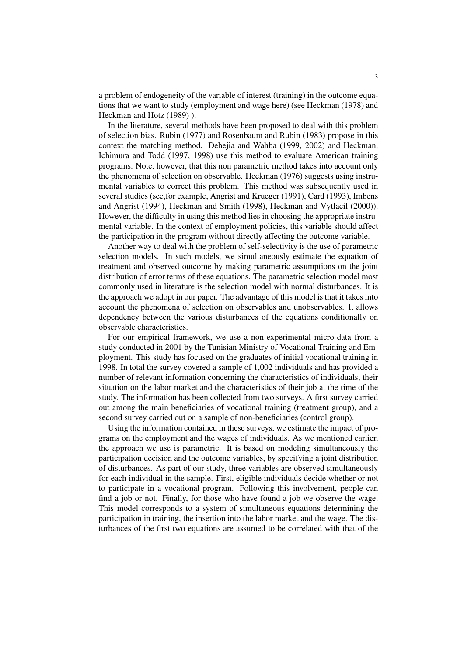a problem of endogeneity of the variable of interest (training) in the outcome equations that we want to study (employment and wage here) (see Heckman (1978) and Heckman and Hotz (1989) ).

In the literature, several methods have been proposed to deal with this problem of selection bias. Rubin (1977) and Rosenbaum and Rubin (1983) propose in this context the matching method. Dehejia and Wahba (1999, 2002) and Heckman, Ichimura and Todd (1997, 1998) use this method to evaluate American training programs. Note, however, that this non parametric method takes into account only the phenomena of selection on observable. Heckman (1976) suggests using instrumental variables to correct this problem. This method was subsequently used in several studies (see,for example, Angrist and Krueger (1991), Card (1993), Imbens and Angrist (1994), Heckman and Smith (1998), Heckman and Vytlacil (2000)). However, the difficulty in using this method lies in choosing the appropriate instrumental variable. In the context of employment policies, this variable should affect the participation in the program without directly affecting the outcome variable.

Another way to deal with the problem of self-selectivity is the use of parametric selection models. In such models, we simultaneously estimate the equation of treatment and observed outcome by making parametric assumptions on the joint distribution of error terms of these equations. The parametric selection model most commonly used in literature is the selection model with normal disturbances. It is the approach we adopt in our paper. The advantage of this model is that it takes into account the phenomena of selection on observables and unobservables. It allows dependency between the various disturbances of the equations conditionally on observable characteristics.

For our empirical framework, we use a non-experimental micro-data from a study conducted in 2001 by the Tunisian Ministry of Vocational Training and Employment. This study has focused on the graduates of initial vocational training in 1998. In total the survey covered a sample of 1,002 individuals and has provided a number of relevant information concerning the characteristics of individuals, their situation on the labor market and the characteristics of their job at the time of the study. The information has been collected from two surveys. A first survey carried out among the main beneficiaries of vocational training (treatment group), and a second survey carried out on a sample of non-beneficiaries (control group).

Using the information contained in these surveys, we estimate the impact of programs on the employment and the wages of individuals. As we mentioned earlier, the approach we use is parametric. It is based on modeling simultaneously the participation decision and the outcome variables, by specifying a joint distribution of disturbances. As part of our study, three variables are observed simultaneously for each individual in the sample. First, eligible individuals decide whether or not to participate in a vocational program. Following this involvement, people can find a job or not. Finally, for those who have found a job we observe the wage. This model corresponds to a system of simultaneous equations determining the participation in training, the insertion into the labor market and the wage. The disturbances of the first two equations are assumed to be correlated with that of the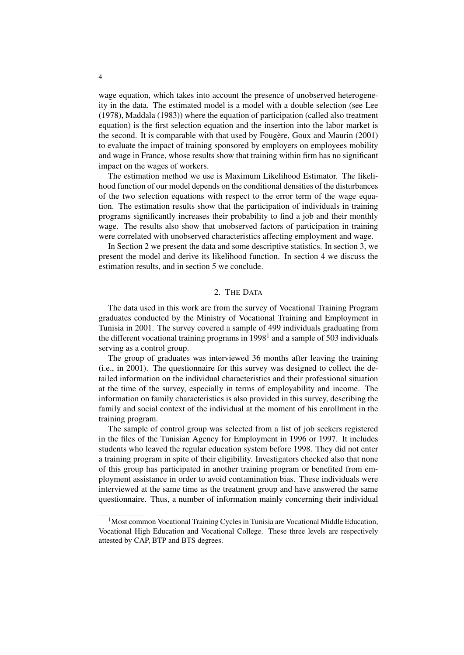wage equation, which takes into account the presence of unobserved heterogeneity in the data. The estimated model is a model with a double selection (see Lee (1978), Maddala (1983)) where the equation of participation (called also treatment equation) is the first selection equation and the insertion into the labor market is the second. It is comparable with that used by Fougère, Goux and Maurin (2001) to evaluate the impact of training sponsored by employers on employees mobility and wage in France, whose results show that training within firm has no significant impact on the wages of workers.

The estimation method we use is Maximum Likelihood Estimator. The likelihood function of our model depends on the conditional densities of the disturbances of the two selection equations with respect to the error term of the wage equation. The estimation results show that the participation of individuals in training programs significantly increases their probability to find a job and their monthly wage. The results also show that unobserved factors of participation in training were correlated with unobserved characteristics affecting employment and wage.

In Section 2 we present the data and some descriptive statistics. In section 3, we present the model and derive its likelihood function. In section 4 we discuss the estimation results, and in section 5 we conclude.

### 2. THE DATA

The data used in this work are from the survey of Vocational Training Program graduates conducted by the Ministry of Vocational Training and Employment in Tunisia in 2001. The survey covered a sample of 499 individuals graduating from the different vocational training programs in  $1998<sup>1</sup>$  and a sample of 503 individuals serving as a control group.

The group of graduates was interviewed 36 months after leaving the training (i.e., in 2001). The questionnaire for this survey was designed to collect the detailed information on the individual characteristics and their professional situation at the time of the survey, especially in terms of employability and income. The information on family characteristics is also provided in this survey, describing the family and social context of the individual at the moment of his enrollment in the training program.

The sample of control group was selected from a list of job seekers registered in the files of the Tunisian Agency for Employment in 1996 or 1997. It includes students who leaved the regular education system before 1998. They did not enter a training program in spite of their eligibility. Investigators checked also that none of this group has participated in another training program or benefited from employment assistance in order to avoid contamination bias. These individuals were interviewed at the same time as the treatment group and have answered the same questionnaire. Thus, a number of information mainly concerning their individual

<sup>&</sup>lt;sup>1</sup>Most common Vocational Training Cycles in Tunisia are Vocational Middle Education, Vocational High Education and Vocational College. These three levels are respectively attested by CAP, BTP and BTS degrees.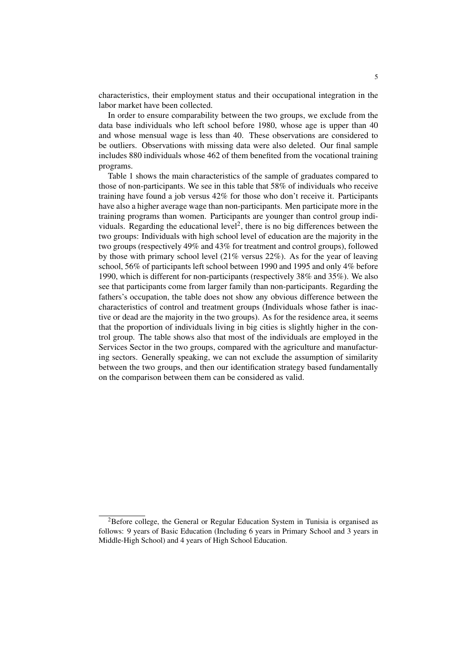characteristics, their employment status and their occupational integration in the labor market have been collected.

In order to ensure comparability between the two groups, we exclude from the data base individuals who left school before 1980, whose age is upper than 40 and whose mensual wage is less than 40. These observations are considered to be outliers. Observations with missing data were also deleted. Our final sample includes 880 individuals whose 462 of them benefited from the vocational training programs.

Table 1 shows the main characteristics of the sample of graduates compared to those of non-participants. We see in this table that 58% of individuals who receive training have found a job versus 42% for those who don't receive it. Participants have also a higher average wage than non-participants. Men participate more in the training programs than women. Participants are younger than control group individuals. Regarding the educational level<sup>2</sup>, there is no big differences between the two groups: Individuals with high school level of education are the majority in the two groups (respectively 49% and 43% for treatment and control groups), followed by those with primary school level (21% versus 22%). As for the year of leaving school, 56% of participants left school between 1990 and 1995 and only 4% before 1990, which is different for non-participants (respectively 38% and 35%). We also see that participants come from larger family than non-participants. Regarding the fathers's occupation, the table does not show any obvious difference between the characteristics of control and treatment groups (Individuals whose father is inactive or dead are the majority in the two groups). As for the residence area, it seems that the proportion of individuals living in big cities is slightly higher in the control group. The table shows also that most of the individuals are employed in the Services Sector in the two groups, compared with the agriculture and manufacturing sectors. Generally speaking, we can not exclude the assumption of similarity between the two groups, and then our identification strategy based fundamentally on the comparison between them can be considered as valid.

 ${}^{2}$ Before college, the General or Regular Education System in Tunisia is organised as follows: 9 years of Basic Education (Including 6 years in Primary School and 3 years in Middle-High School) and 4 years of High School Education.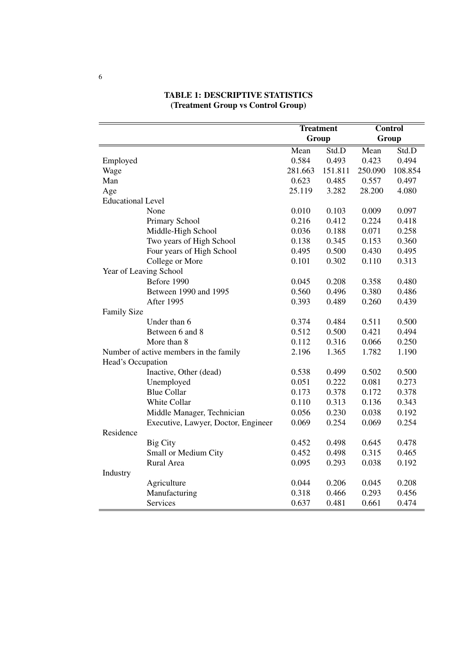|                                        |                                     | <b>Treatment</b> |         | <b>Control</b> |         |
|----------------------------------------|-------------------------------------|------------------|---------|----------------|---------|
|                                        |                                     | Group            |         | Group          |         |
|                                        |                                     | Mean             | Std.D   | Mean           | Std.D   |
| Employed                               |                                     | 0.584            | 0.493   | 0.423          | 0.494   |
| Wage                                   |                                     | 281.663          | 151.811 | 250.090        | 108.854 |
| Man                                    |                                     | 0.623            | 0.485   | 0.557          | 0.497   |
| Age                                    |                                     | 25.119           | 3.282   | 28.200         | 4.080   |
| <b>Educational Level</b>               |                                     |                  |         |                |         |
|                                        | None                                | 0.010            | 0.103   | 0.009          | 0.097   |
|                                        | Primary School                      | 0.216            | 0.412   | 0.224          | 0.418   |
|                                        | Middle-High School                  | 0.036            | 0.188   | 0.071          | 0.258   |
|                                        | Two years of High School            | 0.138            | 0.345   | 0.153          | 0.360   |
|                                        | Four years of High School           | 0.495            | 0.500   | 0.430          | 0.495   |
|                                        | College or More                     | 0.101            | 0.302   | 0.110          | 0.313   |
|                                        | Year of Leaving School              |                  |         |                |         |
|                                        | Before 1990                         | 0.045            | 0.208   | 0.358          | 0.480   |
|                                        | Between 1990 and 1995               | 0.560            | 0.496   | 0.380          | 0.486   |
|                                        | After 1995                          | 0.393            | 0.489   | 0.260          | 0.439   |
| <b>Family Size</b>                     |                                     |                  |         |                |         |
|                                        | Under than 6                        | 0.374            | 0.484   | 0.511          | 0.500   |
|                                        | Between 6 and 8                     | 0.512            | 0.500   | 0.421          | 0.494   |
|                                        | More than 8                         | 0.112            | 0.316   | 0.066          | 0.250   |
| Number of active members in the family |                                     | 2.196            | 1.365   | 1.782          | 1.190   |
| Head's Occupation                      |                                     |                  |         |                |         |
|                                        | Inactive, Other (dead)              | 0.538            | 0.499   | 0.502          | 0.500   |
|                                        | Unemployed                          | 0.051            | 0.222   | 0.081          | 0.273   |
|                                        | <b>Blue Collar</b>                  | 0.173            | 0.378   | 0.172          | 0.378   |
|                                        | White Collar                        | 0.110            | 0.313   | 0.136          | 0.343   |
|                                        | Middle Manager, Technician          | 0.056            | 0.230   | 0.038          | 0.192   |
|                                        | Executive, Lawyer, Doctor, Engineer | 0.069            | 0.254   | 0.069          | 0.254   |
| Residence                              |                                     |                  |         |                |         |
|                                        | <b>Big City</b>                     | 0.452            | 0.498   | 0.645          | 0.478   |
|                                        | Small or Medium City                | 0.452            | 0.498   | 0.315          | 0.465   |
|                                        | Rural Area                          | 0.095            | 0.293   | 0.038          | 0.192   |
| Industry                               |                                     |                  |         |                |         |
|                                        | Agriculture                         | 0.044            | 0.206   | 0.045          | 0.208   |
|                                        | Manufacturing                       | 0.318            | 0.466   | 0.293          | 0.456   |
|                                        | Services                            | 0.637            | 0.481   | 0.661          | 0.474   |

# TABLE 1: DESCRIPTIVE STATISTICS (Treatment Group vs Control Group)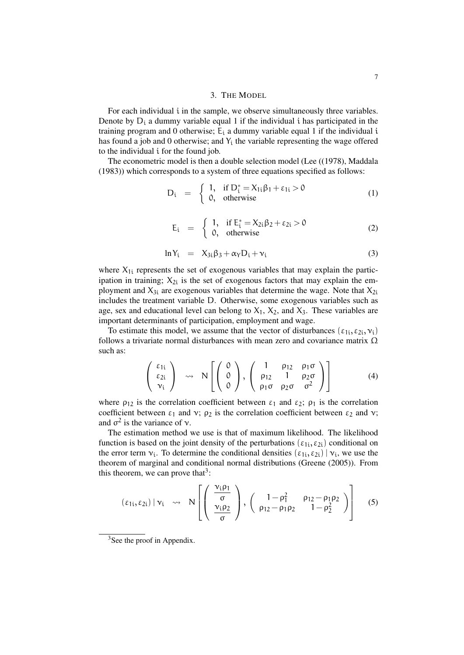## 3. THE MODEL

For each individual i in the sample, we observe simultaneously three variables. Denote by  $D_i$  a dummy variable equal 1 if the individual i has participated in the training program and 0 otherwise;  $E_i$  a dummy variable equal 1 if the individual i has found a job and 0 otherwise; and  $Y_i$  the variable representing the wage offered to the individual i for the found job.

The econometric model is then a double selection model (Lee ((1978), Maddala (1983)) which corresponds to a system of three equations specified as follows:

$$
D_i = \begin{cases} 1, & \text{if } D_i^* = X_{1i}\beta_1 + \varepsilon_{1i} > 0 \\ 0, & \text{otherwise} \end{cases}
$$
 (1)

$$
E_i = \begin{cases} 1, & \text{if } E_i^* = X_{2i} \beta_2 + \varepsilon_{2i} > 0 \\ 0, & \text{otherwise} \end{cases}
$$
 (2)

$$
\ln Y_i = X_{3i}\beta_3 + \alpha_Y D_i + \nu_i \tag{3}
$$

where  $X_{1i}$  represents the set of exogenous variables that may explain the participation in training;  $X_{2i}$  is the set of exogenous factors that may explain the employment and  $X_{3i}$  are exogenous variables that determine the wage. Note that  $X_{2i}$ includes the treatment variable D. Otherwise, some exogenous variables such as age, sex and educational level can belong to  $X_1$ ,  $X_2$ , and  $X_3$ . These variables are important determinants of participation, employment and wage.

To estimate this model, we assume that the vector of disturbances  $(\epsilon_{1i}, \epsilon_{2i}, v_i)$ follows a trivariate normal disturbances with mean zero and covariance matrix  $\Omega$ such as:

$$
\begin{pmatrix} \varepsilon_{1i} \\ \varepsilon_{2i} \\ \nu_i \end{pmatrix} \rightsquigarrow N \left[ \begin{pmatrix} 0 \\ 0 \\ 0 \end{pmatrix}, \begin{pmatrix} 1 & \rho_{12} & \rho_1 \sigma \\ \rho_{12} & 1 & \rho_2 \sigma \\ \rho_1 \sigma & \rho_2 \sigma & \sigma^2 \end{pmatrix} \right]
$$
(4)

where  $\rho_{12}$  is the correlation coefficient between  $\varepsilon_1$  and  $\varepsilon_2$ ;  $\rho_1$  is the correlation coefficient between  $\varepsilon_1$  and  $v$ ;  $\rho_2$  is the correlation coefficient between  $\varepsilon_2$  and  $v$ ; and  $\sigma^2$  is the variance of  $\nu$ .

The estimation method we use is that of maximum likelihood. The likelihood function is based on the joint density of the perturbations ( $\varepsilon_{1i}, \varepsilon_{2i}$ ) conditional on the error term  $v_i$ . To determine the conditional densities  $(\varepsilon_{1i}, \varepsilon_{2i})$   $|v_i|$ , we use the theorem of marginal and conditional normal distributions (Greene (2005)). From this theorem, we can prove that<sup>3</sup>:

$$
(\varepsilon_{1i}, \varepsilon_{2i}) | \nu_i \nightharpoonup N \left[ \left( \begin{array}{c} \frac{\nu_i \rho_1}{\sigma} \\ \frac{\nu_i \rho_2}{\sigma} \end{array} \right), \left( \begin{array}{cc} 1 - \rho_1^2 & \rho_{12} - \rho_1 \rho_2 \\ \rho_{12} - \rho_1 \rho_2 & 1 - \rho_2^2 \end{array} \right) \right] \tag{5}
$$

<sup>&</sup>lt;sup>3</sup>See the proof in Appendix.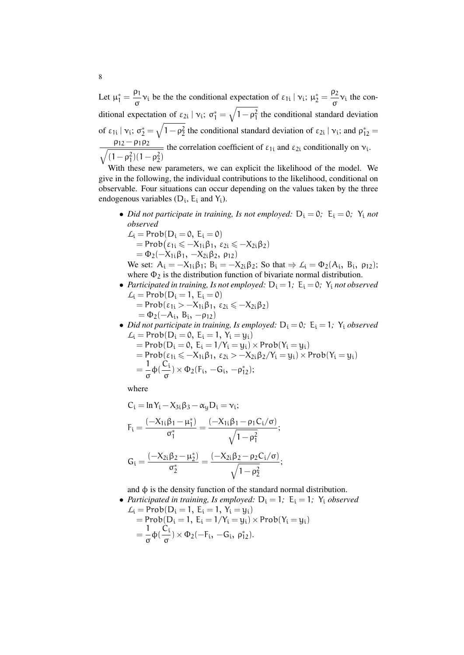Let  $\mu_1^* = \frac{\rho_1}{\sigma_1}$  $\frac{\rho_1}{\sigma}$  v<sub>i</sub> be the the conditional expectation of  $\varepsilon_{1i} | v_i; \mu_2^* = \frac{\rho_2}{\sigma}$  $\frac{\rho_2}{\sigma}v_i$  the conditional expectation of  $\varepsilon_{2i} | v_i$ ;  $\sigma_1^* = \sqrt{1 - \rho_1^2}$  the conditional standard deviation of  $\varepsilon_{1i} | \nu_i$ ;  $\sigma_2^* = \sqrt{1 - \rho_2^2}$  the conditional standard deviation of  $\varepsilon_{2i} | \nu_i$ ; and  $\rho_{12}^* =$  $\sqrt{(1-\rho_1^2)(1-\rho_2^2)}$  $\rho_{12} - \rho_1 \rho_2$  the correlation coefficient of  $\varepsilon_{1i}$  and  $\varepsilon_{2i}$  conditionally on  $v_i$ .

With these new parameters, we can explicit the likelihood of the model. We give in the following, the individual contributions to the likelihood, conditional on observable. Four situations can occur depending on the values taken by the three endogenous variables  $(D_i, E_i \text{ and } Y_i)$ .

- *Did not participate in training, Is not employed:*  $D_i = 0$ ;  $E_i = 0$ ;  $Y_i$  *not observed*
	- $L_i = Prob(D_i = 0, E_i = 0)$  $=$  Prob $(\varepsilon_{1i} \leq -X_{1i}\beta_1, \ \varepsilon_{2i} \leq -X_{2i}\beta_2)$  $= \Phi_2(-X_{1i}\beta_1, -X_{2i}\beta_2, \rho_{12})$

We set:  $A_i = -X_{1i}\beta_1$ ;  $B_i = -X_{2i}\beta_2$ ; So that  $\Rightarrow L_i = \Phi_2(A_i, B_i, \rho_{12})$ ; where  $\Phi_2$  is the distribution function of bivariate normal distribution.

- *Participated in training, Is not employed:*  $D_i = 1$ ;  $E_i = 0$ ;  $Y_i$  *not observed*  $L_i = Prob(D_i = 1, E_i = 0)$ 
	- $=$  Prob( $\epsilon_{1i}$  >  $-X_{1i}\beta_1$ ,  $\epsilon_{2i} \le -X_{2i}\beta_2$ )  $= \Phi_2(-A_i, B_i, -\rho_{12})$
- *Did not participate in training, Is employed:*  $D_i = 0$ ;  $E_i = 1$ ;  $Y_i$  *observed*  $L_i = Prob(D_i = 0, E_i = 1, Y_i = y_i)$ 
	- $=$  Prob( $D_i = 0$ ,  $E_i = 1/Y_i = y_i$ ) × Prob( $Y_i = y_i$ )  $=$  Prob( $\varepsilon_{1i} \le -X_{1i}\beta_1, \, \varepsilon_{2i} > -X_{2i}\beta_2/Y_i = y_i$ ) × Prob( $Y_i = y_i$ )  $=$  $\frac{1}{1}$  $rac{1}{\sigma}$ φ( $rac{C_i}{\sigma}$  $\frac{G_i}{\sigma}$ ) ×  $\Phi_2$ (F<sub>i</sub>, -G<sub>i</sub>, - $\rho_{12}^*$ );

where

$$
C_{i} = \ln Y_{i} - X_{3i}\beta_{3} - \alpha_{y}D_{i} = v_{i};
$$
\n
$$
F_{i} = \frac{(-X_{1i}\beta_{1} - \mu_{1}^{*})}{\sigma_{1}^{*}} = \frac{(-X_{1i}\beta_{1} - \rho_{1}C_{i}/\sigma)}{\sqrt{1 - \rho_{1}^{2}}};
$$
\n
$$
G_{i} = \frac{(-X_{2i}\beta_{2} - \mu_{2}^{*})}{\sigma_{2}^{*}} = \frac{(-X_{2i}\beta_{2} - \rho_{2}C_{i}/\sigma)}{\sqrt{1 - \rho_{2}^{2}}};
$$

and  $\phi$  is the density function of the standard normal distribution.

• *Participated in training, Is employed:*  $D_i = 1$ ;  $E_i = 1$ ;  $Y_i$  *observed*  $L_i = Prob(D_i = 1, E_i = 1, Y_i = y_i)$  $=$  Prob $(D_i = 1, E_i = 1/Y_i = y_i) \times Prob(Y_i = y_i)$ 

$$
= \frac{1}{\sigma} \Phi(\frac{C_i}{\sigma}) \times \Phi_2(-F_i, -G_i, \rho_{12}^*).
$$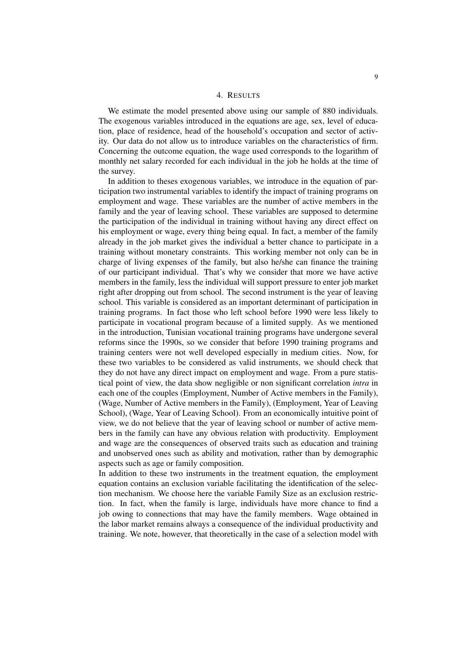### 4. RESULTS

We estimate the model presented above using our sample of 880 individuals. The exogenous variables introduced in the equations are age, sex, level of education, place of residence, head of the household's occupation and sector of activity. Our data do not allow us to introduce variables on the characteristics of firm. Concerning the outcome equation, the wage used corresponds to the logarithm of monthly net salary recorded for each individual in the job he holds at the time of the survey.

In addition to theses exogenous variables, we introduce in the equation of participation two instrumental variables to identify the impact of training programs on employment and wage. These variables are the number of active members in the family and the year of leaving school. These variables are supposed to determine the participation of the individual in training without having any direct effect on his employment or wage, every thing being equal. In fact, a member of the family already in the job market gives the individual a better chance to participate in a training without monetary constraints. This working member not only can be in charge of living expenses of the family, but also he/she can finance the training of our participant individual. That's why we consider that more we have active members in the family, less the individual will support pressure to enter job market right after dropping out from school. The second instrument is the year of leaving school. This variable is considered as an important determinant of participation in training programs. In fact those who left school before 1990 were less likely to participate in vocational program because of a limited supply. As we mentioned in the introduction, Tunisian vocational training programs have undergone several reforms since the 1990s, so we consider that before 1990 training programs and training centers were not well developed especially in medium cities. Now, for these two variables to be considered as valid instruments, we should check that they do not have any direct impact on employment and wage. From a pure statistical point of view, the data show negligible or non significant correlation *intra* in each one of the couples (Employment, Number of Active members in the Family), (Wage, Number of Active members in the Family), (Employment, Year of Leaving School), (Wage, Year of Leaving School). From an economically intuitive point of view, we do not believe that the year of leaving school or number of active members in the family can have any obvious relation with productivity. Employment and wage are the consequences of observed traits such as education and training and unobserved ones such as ability and motivation, rather than by demographic aspects such as age or family composition.

In addition to these two instruments in the treatment equation, the employment equation contains an exclusion variable facilitating the identification of the selection mechanism. We choose here the variable Family Size as an exclusion restriction. In fact, when the family is large, individuals have more chance to find a job owing to connections that may have the family members. Wage obtained in the labor market remains always a consequence of the individual productivity and training. We note, however, that theoretically in the case of a selection model with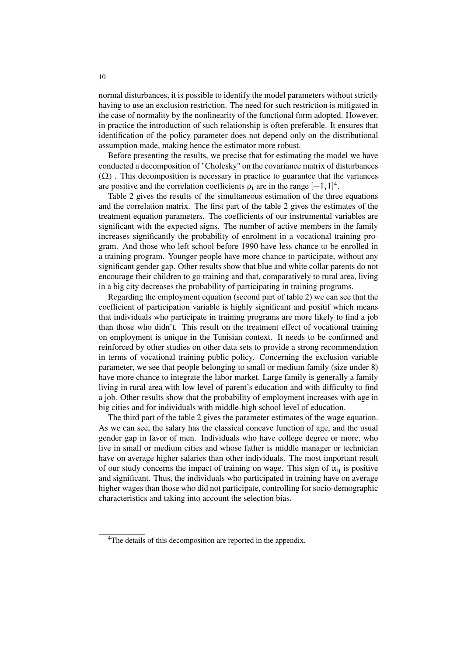normal disturbances, it is possible to identify the model parameters without strictly having to use an exclusion restriction. The need for such restriction is mitigated in the case of normality by the nonlinearity of the functional form adopted. However, in practice the introduction of such relationship is often preferable. It ensures that identification of the policy parameter does not depend only on the distributional assumption made, making hence the estimator more robust.

Before presenting the results, we precise that for estimating the model we have conducted a decomposition of "Cholesky" on the covariance matrix of disturbances  $(\Omega)$ . This decomposition is necessary in practice to guarantee that the variances are positive and the correlation coefficients  $\rho_i$  are in the range  $[-1,1]^4$ .

Table 2 gives the results of the simultaneous estimation of the three equations and the correlation matrix. The first part of the table 2 gives the estimates of the treatment equation parameters. The coefficients of our instrumental variables are significant with the expected signs. The number of active members in the family increases significantly the probability of enrolment in a vocational training program. And those who left school before 1990 have less chance to be enrolled in a training program. Younger people have more chance to participate, without any significant gender gap. Other results show that blue and white collar parents do not encourage their children to go training and that, comparatively to rural area, living in a big city decreases the probability of participating in training programs.

Regarding the employment equation (second part of table 2) we can see that the coefficient of participation variable is highly significant and positif which means that individuals who participate in training programs are more likely to find a job than those who didn't. This result on the treatment effect of vocational training on employment is unique in the Tunisian context. It needs to be confirmed and reinforced by other studies on other data sets to provide a strong recommendation in terms of vocational training public policy. Concerning the exclusion variable parameter, we see that people belonging to small or medium family (size under 8) have more chance to integrate the labor market. Large family is generally a family living in rural area with low level of parent's education and with difficulty to find a job. Other results show that the probability of employment increases with age in big cities and for individuals with middle-high school level of education.

The third part of the table 2 gives the parameter estimates of the wage equation. As we can see, the salary has the classical concave function of age, and the usual gender gap in favor of men. Individuals who have college degree or more, who live in small or medium cities and whose father is middle manager or technician have on average higher salaries than other individuals. The most important result of our study concerns the impact of training on wage. This sign of  $\alpha_u$  is positive and significant. Thus, the individuals who participated in training have on average higher wages than those who did not participate, controlling for socio-demographic characteristics and taking into account the selection bias.

<sup>&</sup>lt;sup>4</sup>The details of this decomposition are reported in the appendix.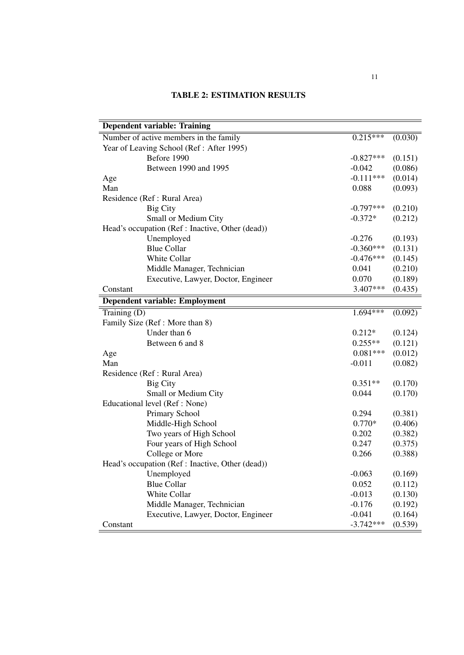# TABLE 2: ESTIMATION RESULTS

| <b>Dependent variable: Training</b>              |             |         |  |  |
|--------------------------------------------------|-------------|---------|--|--|
| Number of active members in the family           | $0.215***$  | (0.030) |  |  |
| Year of Leaving School (Ref: After 1995)         |             |         |  |  |
| Before 1990                                      | $-0.827***$ | (0.151) |  |  |
| Between 1990 and 1995                            | $-0.042$    | (0.086) |  |  |
| Age                                              | $-0.111***$ | (0.014) |  |  |
| Man                                              | 0.088       | (0.093) |  |  |
| Residence (Ref : Rural Area)                     |             |         |  |  |
| <b>Big City</b>                                  | $-0.797***$ | (0.210) |  |  |
| Small or Medium City                             | $-0.372*$   | (0.212) |  |  |
| Head's occupation (Ref : Inactive, Other (dead)) |             |         |  |  |
| Unemployed                                       | $-0.276$    | (0.193) |  |  |
| <b>Blue Collar</b>                               | $-0.360***$ | (0.131) |  |  |
| White Collar                                     | $-0.476***$ | (0.145) |  |  |
| Middle Manager, Technician                       | 0.041       | (0.210) |  |  |
| Executive, Lawyer, Doctor, Engineer              | 0.070       | (0.189) |  |  |
| Constant                                         | 3.407***    | (0.435) |  |  |
| Dependent variable: Employment                   |             |         |  |  |
| Training (D)                                     | 1.694***    | (0.092) |  |  |
| Family Size (Ref: More than 8)                   |             |         |  |  |
| Under than 6                                     | $0.212*$    | (0.124) |  |  |
| Between 6 and 8                                  | $0.255**$   | (0.121) |  |  |
| Age                                              | $0.081***$  | (0.012) |  |  |
| Man                                              | $-0.011$    | (0.082) |  |  |
| Residence (Ref : Rural Area)                     |             |         |  |  |
| <b>Big City</b>                                  | $0.351**$   | (0.170) |  |  |
| Small or Medium City                             | 0.044       | (0.170) |  |  |
| Educational level (Ref: None)                    |             |         |  |  |
| Primary School                                   | 0.294       | (0.381) |  |  |
| Middle-High School                               | $0.770*$    | (0.406) |  |  |
| Two years of High School                         | 0.202       | (0.382) |  |  |
| Four years of High School                        | 0.247       | (0.375) |  |  |
| College or More                                  | 0.266       | (0.388) |  |  |
| Head's occupation (Ref : Inactive, Other (dead)) |             |         |  |  |
| Unemployed                                       | $-0.063$    | (0.169) |  |  |
| <b>Blue Collar</b>                               | 0.052       | (0.112) |  |  |
| White Collar                                     | $-0.013$    | (0.130) |  |  |
| Middle Manager, Technician                       | $-0.176$    | (0.192) |  |  |
| Executive, Lawyer, Doctor, Engineer              | $-0.041$    | (0.164) |  |  |
| Constant                                         | $-3.742***$ | (0.539) |  |  |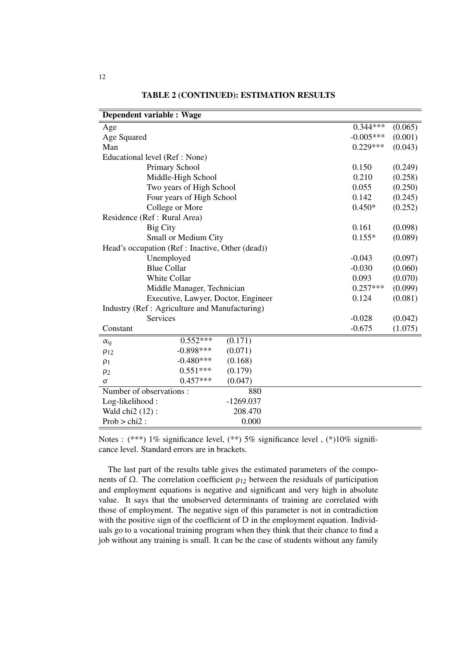| Dependent variable : Wage                       |             |          |         |  |  |  |
|-------------------------------------------------|-------------|----------|---------|--|--|--|
| Age                                             |             |          | (0.065) |  |  |  |
| Age Squared                                     | $-0.005***$ | (0.001)  |         |  |  |  |
| Man                                             | $0.229***$  | (0.043)  |         |  |  |  |
| Educational level (Ref: None)                   |             |          |         |  |  |  |
| Primary School                                  | 0.150       | (0.249)  |         |  |  |  |
| Middle-High School                              | 0.210       | (0.258)  |         |  |  |  |
| Two years of High School                        | 0.055       | (0.250)  |         |  |  |  |
| Four years of High School                       | 0.142       | (0.245)  |         |  |  |  |
| College or More                                 | $0.450*$    | (0.252)  |         |  |  |  |
| Residence (Ref : Rural Area)                    |             |          |         |  |  |  |
| <b>Big City</b>                                 | 0.161       | (0.098)  |         |  |  |  |
| Small or Medium City                            | $0.155*$    | (0.089)  |         |  |  |  |
| Head's occupation (Ref: Inactive, Other (dead)) |             |          |         |  |  |  |
| Unemployed                                      | $-0.043$    | (0.097)  |         |  |  |  |
| <b>Blue Collar</b>                              | $-0.030$    | (0.060)  |         |  |  |  |
| White Collar                                    | 0.093       | (0.070)  |         |  |  |  |
| Middle Manager, Technician                      | $0.257***$  | (0.099)  |         |  |  |  |
| Executive, Lawyer, Doctor, Engineer             |             | 0.124    | (0.081) |  |  |  |
| Industry (Ref : Agriculture and Manufacturing)  |             |          |         |  |  |  |
| <b>Services</b>                                 |             | $-0.028$ | (0.042) |  |  |  |
| Constant                                        |             | $-0.675$ | (1.075) |  |  |  |
| $0.552***$<br>$\alpha_{\rm u}$                  | (0.171)     |          |         |  |  |  |
| $-0.898***$<br>$\rho_{12}$                      | (0.071)     |          |         |  |  |  |
| $-0.480***$<br>$\rho_1$                         | (0.168)     |          |         |  |  |  |
| $0.551***$<br>$\rho_2$                          | (0.179)     |          |         |  |  |  |
| $0.457***$<br>$\sigma$                          | (0.047)     |          |         |  |  |  |
| Number of observations:                         |             |          |         |  |  |  |
| Log-likelihood:                                 | $-1269.037$ |          |         |  |  |  |
| Wald chi2 (12):                                 | 208.470     |          |         |  |  |  |
| $Prob > chi2$ :                                 | 0.000       |          |         |  |  |  |

## TABLE 2 (CONTINUED): ESTIMATION RESULTS

Notes : (\*\*\*) 1% significance level, (\*\*) 5% significance level , (\*)10% significance level. Standard errors are in brackets.

The last part of the results table gives the estimated parameters of the components of Ω. The correlation coefficient  $ρ_{12}$  between the residuals of participation and employment equations is negative and significant and very high in absolute value. It says that the unobserved determinants of training are correlated with those of employment. The negative sign of this parameter is not in contradiction with the positive sign of the coefficient of D in the employment equation. Individuals go to a vocational training program when they think that their chance to find a job without any training is small. It can be the case of students without any family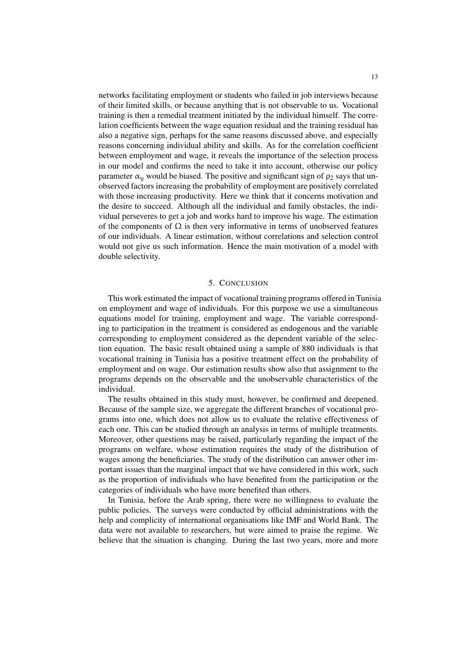networks facilitating employment or students who failed in job interviews because of their limited skills, or because anything that is not observable to us. Vocational training is then a remedial treatment initiated by the individual himself. The correlation coefficients between the wage equation residual and the training residual has also a negative sign, perhaps for the same reasons discussed above, and especially reasons concerning individual ability and skills. As for the correlation coefficient between employment and wage, it reveals the importance of the selection process in our model and confirms the need to take it into account, otherwise our policy parameter  $\alpha_u$  would be biased. The positive and significant sign of  $\rho_2$  says that unobserved factors increasing the probability of employment are positively correlated with those increasing productivity. Here we think that it concerns motivation and the desire to succeed. Although all the individual and family obstacles, the individual perseveres to get a job and works hard to improve his wage. The estimation of the components of  $\Omega$  is then very informative in terms of unobserved features of our individuals. A linear estimation, without correlations and selection control would not give us such information. Hence the main motivation of a model with double selectivity.

#### 5. CONCLUSION

This work estimated the impact of vocational training programs offered in Tunisia on employment and wage of individuals. For this purpose we use a simultaneous equations model for training, employment and wage. The variable corresponding to participation in the treatment is considered as endogenous and the variable corresponding to employment considered as the dependent variable of the selection equation. The basic result obtained using a sample of 880 individuals is that vocational training in Tunisia has a positive treatment effect on the probability of employment and on wage. Our estimation results show also that assignment to the programs depends on the observable and the unobservable characteristics of the individual.

The results obtained in this study must, however, be confirmed and deepened. Because of the sample size, we aggregate the different branches of vocational programs into one, which does not allow us to evaluate the relative effectiveness of each one. This can be studied through an analysis in terms of multiple treatments. Moreover, other questions may be raised, particularly regarding the impact of the programs on welfare, whose estimation requires the study of the distribution of wages among the beneficiaries. The study of the distribution can answer other important issues than the marginal impact that we have considered in this work, such as the proportion of individuals who have benefited from the participation or the categories of individuals who have more benefited than others.

In Tunisia, before the Arab spring, there were no willingness to evaluate the public policies. The surveys were conducted by official administrations with the help and complicity of international organisations like IMF and World Bank. The data were not available to researchers, but were aimed to praise the regime. We believe that the situation is changing. During the last two years, more and more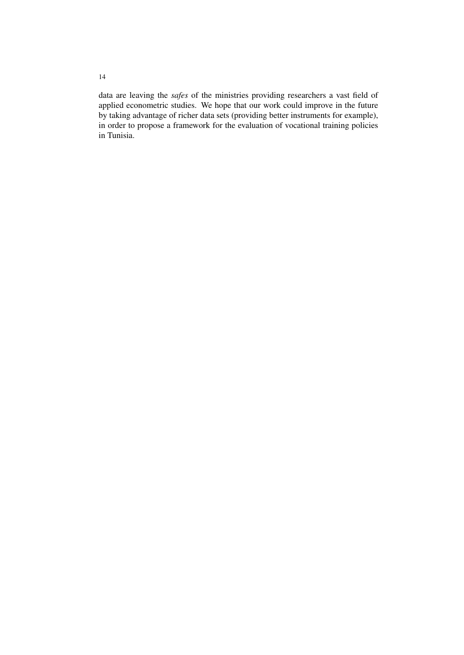data are leaving the *safes* of the ministries providing researchers a vast field of applied econometric studies. We hope that our work could improve in the future by taking advantage of richer data sets (providing better instruments for example), in order to propose a framework for the evaluation of vocational training policies in Tunisia.

14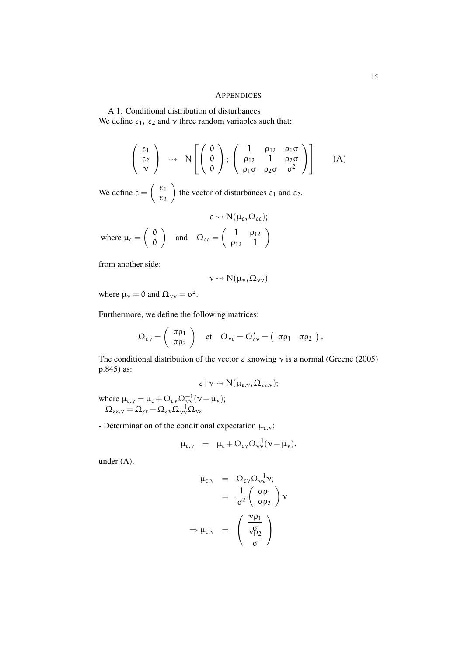#### APPENDICES

A 1: Conditional distribution of disturbances We define  $\varepsilon_1$ ,  $\varepsilon_2$  and  $\nu$  three random variables such that:

$$
\begin{pmatrix} \varepsilon_1 \\ \varepsilon_2 \\ \nu \end{pmatrix} \rightsquigarrow N \left[ \begin{pmatrix} 0 \\ 0 \\ 0 \end{pmatrix}; \begin{pmatrix} 1 & \rho_{12} & \rho_1 \sigma \\ \rho_{12} & 1 & \rho_2 \sigma \\ \rho_1 \sigma & \rho_2 \sigma & \sigma^2 \end{pmatrix} \right] (A)
$$

We define  $\varepsilon = \begin{pmatrix} \varepsilon_1 \\ \varepsilon_2 \end{pmatrix}$ ε2 the vector of disturbances  $\varepsilon_1$  and  $\varepsilon_2$ .

$$
\epsilon \leadsto N(\mu_{\epsilon}, \Omega_{\epsilon \epsilon});
$$
  
where 
$$
\mu_{\epsilon} = \begin{pmatrix} 0 \\ 0 \end{pmatrix} \text{ and } \Omega_{\epsilon \epsilon} = \begin{pmatrix} 1 & \rho_{12} \\ \rho_{12} & 1 \end{pmatrix}.
$$

from another side:

$$
\nu \leadsto N(\mu_\nu, \Omega_{\nu\nu})
$$

where  $\mu_{\nu} = 0$  and  $\Omega_{\nu\nu} = \sigma^2$ .

Furthermore, we define the following matrices:

$$
\Omega_{\epsilon \nu} = \begin{pmatrix} \sigma \rho_1 \\ \sigma \rho_2 \end{pmatrix} \quad \text{et} \quad \Omega_{\nu \epsilon} = \Omega_{\epsilon \nu}' = \begin{pmatrix} \sigma \rho_1 & \sigma \rho_2 \end{pmatrix}.
$$

The conditional distribution of the vector  $\varepsilon$  knowing  $\nu$  is a normal (Greene (2005) p.845) as:

$$
\epsilon \mid \nu \leadsto N(\mu_{\epsilon,\nu},\Omega_{\epsilon\epsilon,\nu});
$$

where  $\mu_{\varepsilon,\nu} = \mu_{\varepsilon} + \Omega_{\varepsilon\nu}\Omega_{\nu\nu}^{-1}(\nu - \mu_{\nu});$  $\Omega_{\varepsilon\epsilon\cdot\mathsf{v}} = \Omega_{\varepsilon\epsilon} - \Omega_{\varepsilon\mathsf{v}}\Omega_{\mathsf{v}\mathsf{v}}^{-1}\Omega_{\mathsf{v}\epsilon}$ 

- Determination of the conditional expectation  $\mu_{\varepsilon,\nu}$ :

$$
\mu_{\varepsilon,\nu} = \mu_{\varepsilon} + \Omega_{\varepsilon\nu} \Omega_{\nu\nu}^{-1} (\nu - \mu_{\nu}).
$$

under (A),

$$
\mu_{\varepsilon,\nu} = \Omega_{\varepsilon\nu}\Omega_{\nu\nu}^{-1}\nu;
$$
  
=  $\frac{1}{\sigma^2}\begin{pmatrix} \sigma\rho_1 \\ \sigma\rho_2 \end{pmatrix}\nu$   

$$
\Rightarrow \mu_{\varepsilon,\nu} = \begin{pmatrix} \frac{\nu\rho_1}{\sqrt{\rho_2}} \\ \frac{\sigma\rho_2}{\sigma} \end{pmatrix}
$$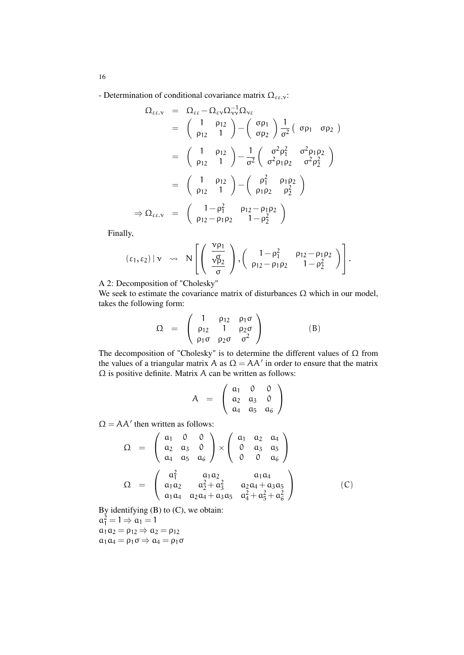- Determination of conditional covariance matrix  $\Omega_{\varepsilon\varepsilon,\nu}$ :

$$
\Omega_{\epsilon\epsilon,\nu} = \Omega_{\epsilon\epsilon} - \Omega_{\epsilon\nu}\Omega_{\nu\nu}^{-1}\Omega_{\nu\epsilon}
$$
\n
$$
= \begin{pmatrix} 1 & \rho_{12} \\ \rho_{12} & 1 \end{pmatrix} - \begin{pmatrix} \sigma \rho_1 \\ \sigma \rho_2 \end{pmatrix} \frac{1}{\sigma^2} \begin{pmatrix} \sigma \rho_1 & \sigma \rho_2 \end{pmatrix}
$$
\n
$$
= \begin{pmatrix} 1 & \rho_{12} \\ \rho_{12} & 1 \end{pmatrix} - \frac{1}{\sigma^2} \begin{pmatrix} \sigma^2 \rho_1^2 & \sigma^2 \rho_1 \rho_2 \\ \sigma^2 \rho_1 \rho_2 & \sigma^2 \rho_2^2 \end{pmatrix}
$$
\n
$$
= \begin{pmatrix} 1 & \rho_{12} \\ \rho_{12} & 1 \end{pmatrix} - \begin{pmatrix} \rho_1^2 & \rho_1 \rho_2 \\ \rho_1 \rho_2 & \rho_2^2 \end{pmatrix}
$$
\n
$$
\Rightarrow \Omega_{\epsilon\epsilon,\nu} = \begin{pmatrix} 1 - \rho_1^2 & \rho_{12} - \rho_1 \rho_2 \\ \rho_{12} - \rho_1 \rho_2 & 1 - \rho_2^2 \end{pmatrix}
$$

Finally,

$$
(\epsilon_1,\epsilon_2) \mid \nu \;\; \rightsquigarrow \;\; N\left[\left(\begin{array}{c} \frac{\nu\rho_1}{\sqrt{\rho}}\\ \frac{\nu\rho_2}{\sigma} \end{array}\right), \left(\begin{array}{cc} 1-\rho_1^2 & \rho_{12}-\rho_1\rho_2 \\ \rho_{12}-\rho_1\rho_2 & 1-\rho_2^2 \end{array}\right)\right].
$$

A 2: Decomposition of "Cholesky"

We seek to estimate the covariance matrix of disturbances  $\Omega$  which in our model, takes the following form:

$$
\Omega = \begin{pmatrix} 1 & \rho_{12} & \rho_1 \sigma \\ \rho_{12} & 1 & \rho_2 \sigma \\ \rho_1 \sigma & \rho_2 \sigma & \sigma^2 \end{pmatrix}
$$
 (B)

The decomposition of "Cholesky" is to determine the different values of Ω from the values of a triangular matrix A as  $\Omega = AA'$  in order to ensure that the matrix  $\Omega$  is positive definite. Matrix A can be written as follows:

$$
A = \left(\begin{array}{ccc} a_1 & 0 & 0 \\ a_2 & a_3 & 0 \\ a_4 & a_5 & a_6 \end{array}\right)
$$

 $\Omega = AA'$  then written as follows:

$$
\Omega = \begin{pmatrix} a_1 & 0 & 0 \\ a_2 & a_3 & 0 \\ a_4 & a_5 & a_6 \end{pmatrix} \times \begin{pmatrix} a_1 & a_2 & a_4 \\ 0 & a_3 & a_5 \\ 0 & 0 & a_6 \end{pmatrix}
$$

$$
\Omega = \begin{pmatrix} a_1^2 & a_1a_2 & a_1a_4 \\ a_1a_2 & a_2^2 + a_3^2 & a_2a_4 + a_3a_5 \\ a_1a_4 & a_2a_4 + a_3a_5 & a_4^2 + a_5^2 + a_6^2 \end{pmatrix}
$$
(C)

By identifying (B) to (C), we obtain:

 $a_1^2 = 1 \Rightarrow a_1 = 1$  $a_1a_2 = \rho_{12} \Rightarrow a_2 = \rho_{12}$  $a_1a_4 = \rho_1\sigma \Rightarrow a_4 = \rho_1\sigma$ 

16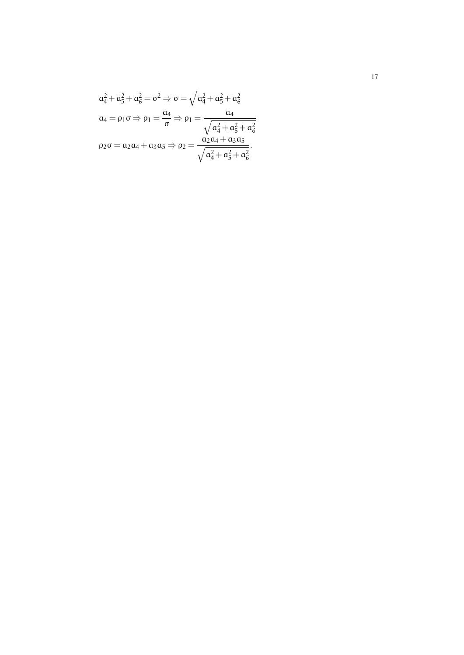$$
\alpha_4^2 + \alpha_5^2 + \alpha_6^2 = \sigma^2 \Rightarrow \sigma = \sqrt{\alpha_4^2 + \alpha_5^2 + \alpha_6^2}
$$

$$
\alpha_4 = \rho_1 \sigma \Rightarrow \rho_1 = \frac{\alpha_4}{\sigma} \Rightarrow \rho_1 = \frac{\alpha_4}{\sqrt{\alpha_4^2 + \alpha_5^2 + \alpha_6^2}}
$$

$$
\rho_2 \sigma = \alpha_2 \alpha_4 + \alpha_3 \alpha_5 \Rightarrow \rho_2 = \frac{\alpha_2 \alpha_4 + \alpha_3 \alpha_5}{\sqrt{\alpha_4^2 + \alpha_5^2 + \alpha_6^2}}.
$$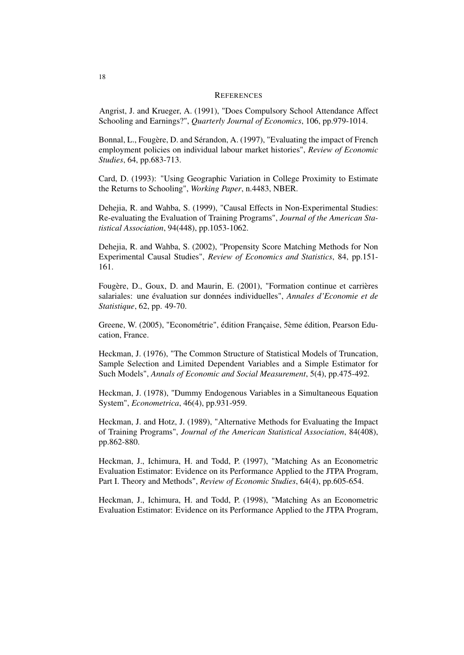#### **REFERENCES**

Angrist, J. and Krueger, A. (1991), "Does Compulsory School Attendance Affect Schooling and Earnings?", *Quarterly Journal of Economics*, 106, pp.979-1014.

Bonnal, L., Fougère, D. and Sérandon, A. (1997), "Evaluating the impact of French employment policies on individual labour market histories", *Review of Economic Studies*, 64, pp.683-713.

Card, D. (1993): "Using Geographic Variation in College Proximity to Estimate the Returns to Schooling", *Working Paper*, n.4483, NBER.

Dehejia, R. and Wahba, S. (1999), "Causal Effects in Non-Experimental Studies: Re-evaluating the Evaluation of Training Programs", *Journal of the American Statistical Association*, 94(448), pp.1053-1062.

Dehejia, R. and Wahba, S. (2002), "Propensity Score Matching Methods for Non Experimental Causal Studies", *Review of Economics and Statistics*, 84, pp.151- 161.

Fougère, D., Goux, D. and Maurin, E. (2001), "Formation continue et carrières salariales: une évaluation sur données individuelles", *Annales d'Economie et de Statistique*, 62, pp. 49-70.

Greene, W. (2005), "Econométrie", édition Française, 5ème édition, Pearson Education, France.

Heckman, J. (1976), "The Common Structure of Statistical Models of Truncation, Sample Selection and Limited Dependent Variables and a Simple Estimator for Such Models", *Annals of Economic and Social Measurement*, 5(4), pp.475-492.

Heckman, J. (1978), "Dummy Endogenous Variables in a Simultaneous Equation System", *Econometrica*, 46(4), pp.931-959.

Heckman, J. and Hotz, J. (1989), "Alternative Methods for Evaluating the Impact of Training Programs", *Journal of the American Statistical Association*, 84(408), pp.862-880.

Heckman, J., Ichimura, H. and Todd, P. (1997), "Matching As an Econometric Evaluation Estimator: Evidence on its Performance Applied to the JTPA Program, Part I. Theory and Methods", *Review of Economic Studies*, 64(4), pp.605-654.

Heckman, J., Ichimura, H. and Todd, P. (1998), "Matching As an Econometric Evaluation Estimator: Evidence on its Performance Applied to the JTPA Program,